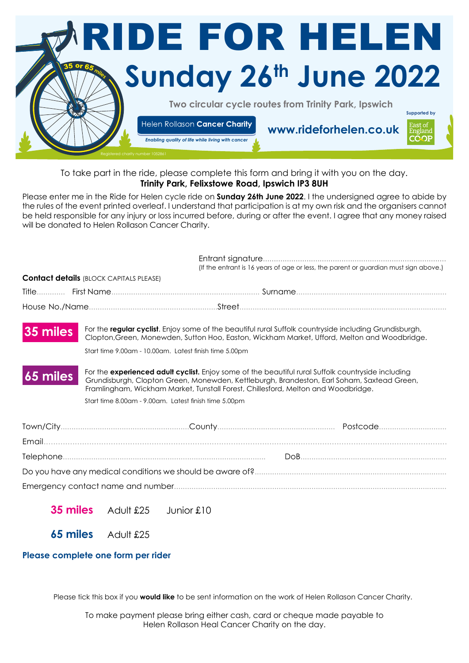

## To take part in the ride, please complete this form and bring it with you on the day. **Trinity Park, Felixstowe Road, Ipswich IP3 8UH**

Please enter me in the Ride for Helen cycle ride on **Sunday 26th June 2022**. I the undersigned agree to abide by the rules of the event printed overleaf. I understand that participation is at my own risk and the organisers cannot be held responsible for any injury or loss incurred before, during or after the event. I agree that any money raised will be donated to Helen Rollason Cancer Charity.

|          |                                                                                                                                                                                                                                                                                              | (If the entrant is 16 years of age or less, the parent or guardian must sign above.) |  |
|----------|----------------------------------------------------------------------------------------------------------------------------------------------------------------------------------------------------------------------------------------------------------------------------------------------|--------------------------------------------------------------------------------------|--|
|          | <b>Contact details (BLOCK CAPITALS PLEASE)</b>                                                                                                                                                                                                                                               |                                                                                      |  |
|          |                                                                                                                                                                                                                                                                                              |                                                                                      |  |
|          |                                                                                                                                                                                                                                                                                              |                                                                                      |  |
| 35 miles | For the regular cyclist. Enjoy some of the beautiful rural Suffolk countryside including Grundisburgh,<br>Clopton, Green, Monewden, Sutton Hoo, Easton, Wickham Market, Ufford, Melton and Woodbridge.                                                                                       |                                                                                      |  |
|          | Start time 9.00am - 10.00am. Latest finish time 5.00pm                                                                                                                                                                                                                                       |                                                                                      |  |
| 65 miles | For the <b>experienced adult cyclist.</b> Enjoy some of the beautiful rural Suffolk countryside including<br>Grundisburgh, Clopton Green, Monewden, Kettleburgh, Brandeston, Earl Soham, Saxtead Green,<br>Framlingham, Wickham Market, Tunstall Forest, Chillesford, Melton and Woodbridge. |                                                                                      |  |
|          | Start time 8.00am - 9.00am. Latest finish time 5.00pm                                                                                                                                                                                                                                        |                                                                                      |  |
|          |                                                                                                                                                                                                                                                                                              |                                                                                      |  |
|          |                                                                                                                                                                                                                                                                                              |                                                                                      |  |
|          |                                                                                                                                                                                                                                                                                              |                                                                                      |  |
|          |                                                                                                                                                                                                                                                                                              |                                                                                      |  |
|          |                                                                                                                                                                                                                                                                                              |                                                                                      |  |
|          |                                                                                                                                                                                                                                                                                              |                                                                                      |  |

**35 miles** Adult £25 Junior £10

**65 miles** Adult £25

## **Please complete one form per rider**

Please tick this box if you **would like** to be sent information on the work of Helen Rollason Cancer Charity.

To make payment please bring either cash, card or cheque made payable to Helen Rollason Heal Cancer Charity on the day.